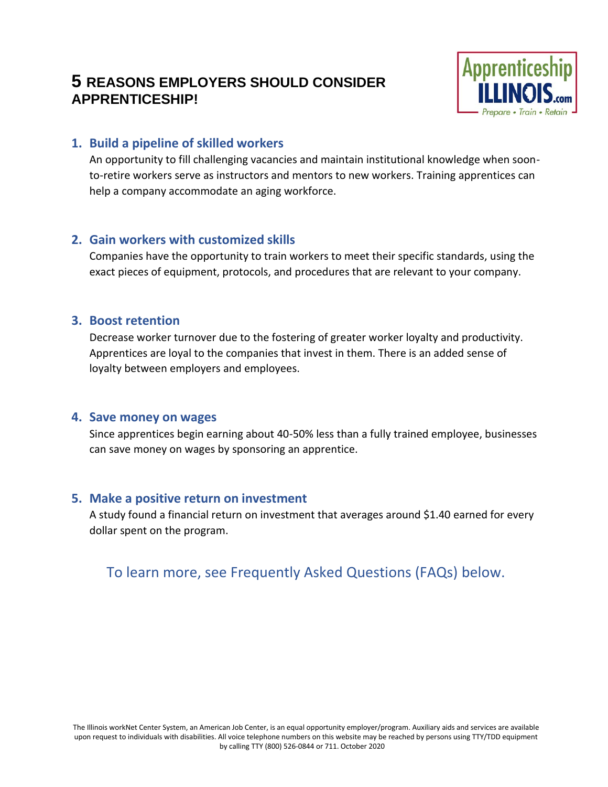# **5 REASONS EMPLOYERS SHOULD CONSIDER APPRENTICESHIP!**



### **1. Build a pipeline of skilled workers**

An opportunity to fill challenging vacancies and maintain institutional knowledge when soonto-retire workers serve as instructors and mentors to new workers. Training apprentices can help a company accommodate an aging workforce.

#### **2. Gain workers with customized skills**

Companies have the opportunity to train workers to meet their specific standards, using the exact pieces of equipment, protocols, and procedures that are relevant to your company.

#### **3. Boost retention**

Decrease worker turnover due to the fostering of greater worker loyalty and productivity. Apprentices are loyal to the companies that invest in them. There is an added sense of loyalty between employers and employees.

#### **4. Save money on wages**

Since apprentices begin earning about 40-50% less than a fully trained employee, businesses can save money on wages by sponsoring an apprentice.

#### **5. Make a positive return on investment**

A study found a financial return on investment that averages around \$1.40 earned for every dollar spent on the program.

# To learn more, see Frequently Asked Questions (FAQs) below.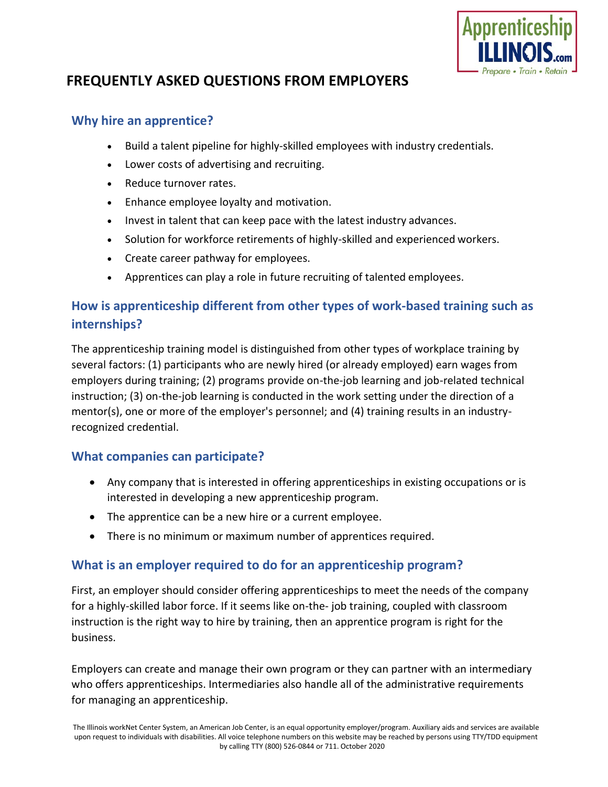

# **FREQUENTLY ASKED QUESTIONS FROM EMPLOYERS**

### **Why hire an apprentice?**

- Build a talent pipeline for highly-skilled employees with industry credentials.
- Lower costs of advertising and recruiting.
- Reduce turnover rates.
- Enhance employee loyalty and motivation.
- Invest in talent that can keep pace with the latest industry advances.
- Solution for workforce retirements of highly-skilled and experienced workers.
- Create career pathway for employees.
- Apprentices can play a role in future recruiting of talented employees.

# **How is apprenticeship different from other types of work-based training such as internships?**

The apprenticeship training model is distinguished from other types of workplace training by several factors: (1) participants who are newly hired (or already employed) earn wages from employers during training; (2) programs provide on-the-job learning and job-related technical instruction; (3) on-the-job learning is conducted in the work setting under the direction of a mentor(s), one or more of the employer's personnel; and (4) training results in an industryrecognized credential.

## **What companies can participate?**

- Any company that is interested in offering apprenticeships in existing occupations or is interested in developing a new apprenticeship program.
- The apprentice can be a new hire or a current employee.
- There is no minimum or maximum number of apprentices required.

## **What is an employer required to do for an apprenticeship program?**

First, an employer should consider offering apprenticeships to meet the needs of the company for a highly-skilled labor force. If it seems like on-the- job training, coupled with classroom instruction is the right way to hire by training, then an apprentice program is right for the business.

Employers can create and manage their own program or they can partner with an intermediary who offers apprenticeships. Intermediaries also handle all of the administrative requirements for managing an apprenticeship.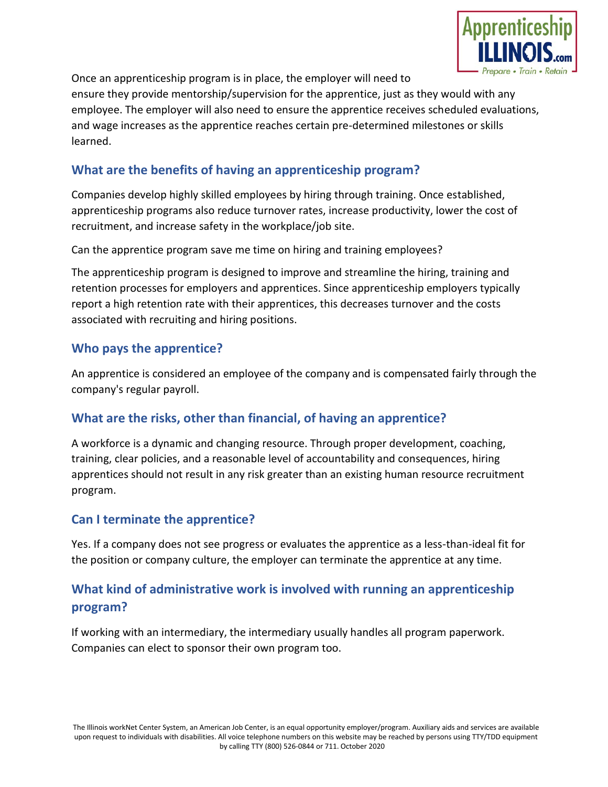

Once an apprenticeship program is in place, the employer will need to ensure they provide mentorship/supervision for the apprentice, just as they would with any employee. The employer will also need to ensure the apprentice receives scheduled evaluations, and wage increases as the apprentice reaches certain pre-determined milestones or skills learned.

# **What are the benefits of having an apprenticeship program?**

Companies develop highly skilled employees by hiring through training. Once established, apprenticeship programs also reduce turnover rates, increase productivity, lower the cost of recruitment, and increase safety in the workplace/job site.

Can the apprentice program save me time on hiring and training employees?

The apprenticeship program is designed to improve and streamline the hiring, training and retention processes for employers and apprentices. Since apprenticeship employers typically report a high retention rate with their apprentices, this decreases turnover and the costs associated with recruiting and hiring positions.

### **Who pays the apprentice?**

An apprentice is considered an employee of the company and is compensated fairly through the company's regular payroll.

## **What are the risks, other than financial, of having an apprentice?**

A workforce is a dynamic and changing resource. Through proper development, coaching, training, clear policies, and a reasonable level of accountability and consequences, hiring apprentices should not result in any risk greater than an existing human resource recruitment program.

#### **Can I terminate the apprentice?**

Yes. If a company does not see progress or evaluates the apprentice as a less-than-ideal fit for the position or company culture, the employer can terminate the apprentice at any time.

# **What kind of administrative work is involved with running an apprenticeship program?**

If working with an intermediary, the intermediary usually handles all program paperwork. Companies can elect to sponsor their own program too.